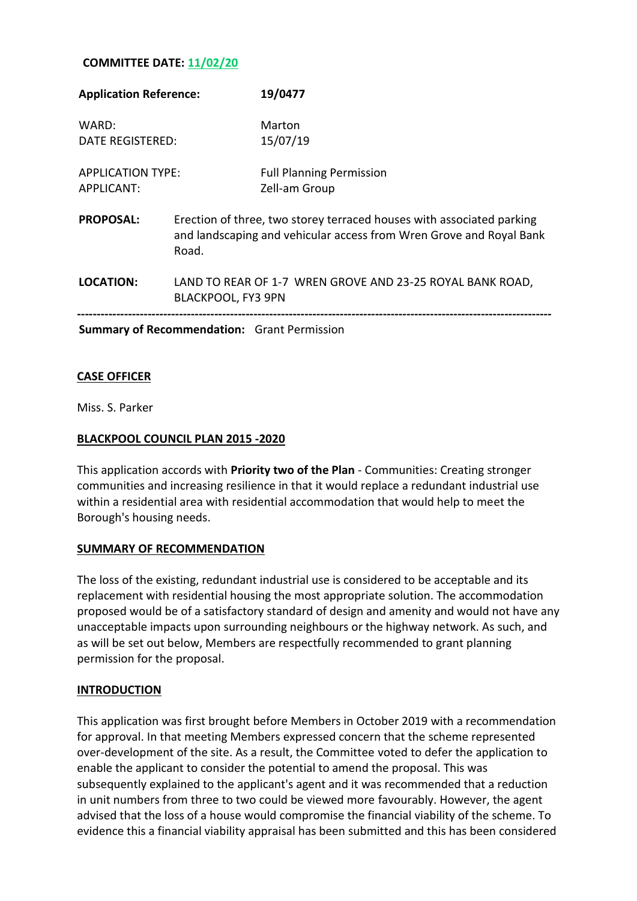## **COMMITTEE DATE: 11/02/20**

| <b>Application Reference:</b>                      |                                                                                                                                                       | 19/0477                                          |
|----------------------------------------------------|-------------------------------------------------------------------------------------------------------------------------------------------------------|--------------------------------------------------|
| WARD:<br><b>DATE REGISTERED:</b>                   |                                                                                                                                                       | Marton<br>15/07/19                               |
| <b>APPLICATION TYPE:</b><br>APPLICANT:             |                                                                                                                                                       | <b>Full Planning Permission</b><br>Zell-am Group |
| <b>PROPOSAL:</b>                                   | Erection of three, two storey terraced houses with associated parking<br>and landscaping and vehicular access from Wren Grove and Royal Bank<br>Road. |                                                  |
| LOCATION:                                          | LAND TO REAR OF 1-7 WREN GROVE AND 23-25 ROYAL BANK ROAD,<br>BLACKPOOL, FY3 9PN                                                                       |                                                  |
| <b>Summary of Recommendation:</b> Grant Permission |                                                                                                                                                       |                                                  |

## **CASE OFFICER**

Miss. S. Parker

### **BLACKPOOL COUNCIL PLAN 2015 -2020**

This application accords with **Priority two of the Plan** - Communities: Creating stronger communities and increasing resilience in that it would replace a redundant industrial use within a residential area with residential accommodation that would help to meet the Borough's housing needs.

### **SUMMARY OF RECOMMENDATION**

The loss of the existing, redundant industrial use is considered to be acceptable and its replacement with residential housing the most appropriate solution. The accommodation proposed would be of a satisfactory standard of design and amenity and would not have any unacceptable impacts upon surrounding neighbours or the highway network. As such, and as will be set out below, Members are respectfully recommended to grant planning permission for the proposal.

### **INTRODUCTION**

This application was first brought before Members in October 2019 with a recommendation for approval. In that meeting Members expressed concern that the scheme represented over-development of the site. As a result, the Committee voted to defer the application to enable the applicant to consider the potential to amend the proposal. This was subsequently explained to the applicant's agent and it was recommended that a reduction in unit numbers from three to two could be viewed more favourably. However, the agent advised that the loss of a house would compromise the financial viability of the scheme. To evidence this a financial viability appraisal has been submitted and this has been considered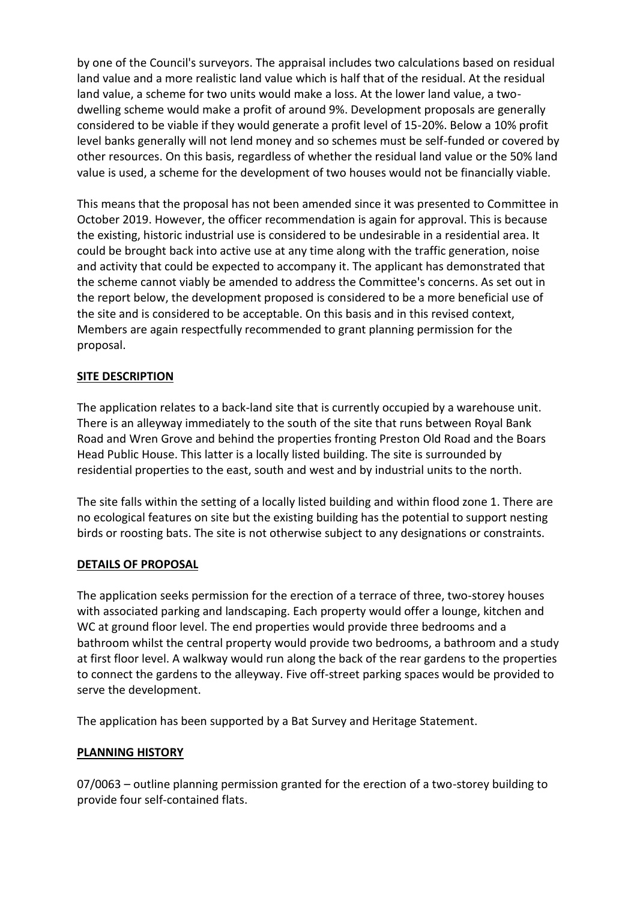by one of the Council's surveyors. The appraisal includes two calculations based on residual land value and a more realistic land value which is half that of the residual. At the residual land value, a scheme for two units would make a loss. At the lower land value, a twodwelling scheme would make a profit of around 9%. Development proposals are generally considered to be viable if they would generate a profit level of 15-20%. Below a 10% profit level banks generally will not lend money and so schemes must be self-funded or covered by other resources. On this basis, regardless of whether the residual land value or the 50% land value is used, a scheme for the development of two houses would not be financially viable.

This means that the proposal has not been amended since it was presented to Committee in October 2019. However, the officer recommendation is again for approval. This is because the existing, historic industrial use is considered to be undesirable in a residential area. It could be brought back into active use at any time along with the traffic generation, noise and activity that could be expected to accompany it. The applicant has demonstrated that the scheme cannot viably be amended to address the Committee's concerns. As set out in the report below, the development proposed is considered to be a more beneficial use of the site and is considered to be acceptable. On this basis and in this revised context, Members are again respectfully recommended to grant planning permission for the proposal.

# **SITE DESCRIPTION**

The application relates to a back-land site that is currently occupied by a warehouse unit. There is an alleyway immediately to the south of the site that runs between Royal Bank Road and Wren Grove and behind the properties fronting Preston Old Road and the Boars Head Public House. This latter is a locally listed building. The site is surrounded by residential properties to the east, south and west and by industrial units to the north.

The site falls within the setting of a locally listed building and within flood zone 1. There are no ecological features on site but the existing building has the potential to support nesting birds or roosting bats. The site is not otherwise subject to any designations or constraints.

## **DETAILS OF PROPOSAL**

The application seeks permission for the erection of a terrace of three, two-storey houses with associated parking and landscaping. Each property would offer a lounge, kitchen and WC at ground floor level. The end properties would provide three bedrooms and a bathroom whilst the central property would provide two bedrooms, a bathroom and a study at first floor level. A walkway would run along the back of the rear gardens to the properties to connect the gardens to the alleyway. Five off-street parking spaces would be provided to serve the development.

The application has been supported by a Bat Survey and Heritage Statement.

## **PLANNING HISTORY**

07/0063 – outline planning permission granted for the erection of a two-storey building to provide four self-contained flats.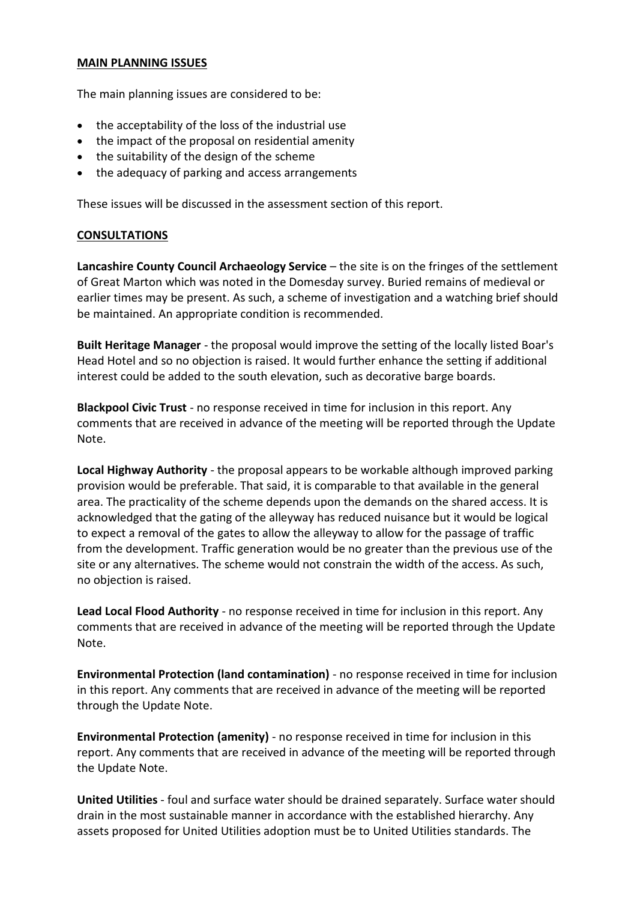### **MAIN PLANNING ISSUES**

The main planning issues are considered to be:

- the acceptability of the loss of the industrial use
- the impact of the proposal on residential amenity
- the suitability of the design of the scheme
- the adequacy of parking and access arrangements

These issues will be discussed in the assessment section of this report.

## **CONSULTATIONS**

**Lancashire County Council Archaeology Service** – the site is on the fringes of the settlement of Great Marton which was noted in the Domesday survey. Buried remains of medieval or earlier times may be present. As such, a scheme of investigation and a watching brief should be maintained. An appropriate condition is recommended.

**Built Heritage Manager** - the proposal would improve the setting of the locally listed Boar's Head Hotel and so no objection is raised. It would further enhance the setting if additional interest could be added to the south elevation, such as decorative barge boards.

**Blackpool Civic Trust** - no response received in time for inclusion in this report. Any comments that are received in advance of the meeting will be reported through the Update Note.

**Local Highway Authority** - the proposal appears to be workable although improved parking provision would be preferable. That said, it is comparable to that available in the general area. The practicality of the scheme depends upon the demands on the shared access. It is acknowledged that the gating of the alleyway has reduced nuisance but it would be logical to expect a removal of the gates to allow the alleyway to allow for the passage of traffic from the development. Traffic generation would be no greater than the previous use of the site or any alternatives. The scheme would not constrain the width of the access. As such, no objection is raised.

**Lead Local Flood Authority** - no response received in time for inclusion in this report. Any comments that are received in advance of the meeting will be reported through the Update Note.

**Environmental Protection (land contamination)** - no response received in time for inclusion in this report. Any comments that are received in advance of the meeting will be reported through the Update Note.

**Environmental Protection (amenity)** - no response received in time for inclusion in this report. Any comments that are received in advance of the meeting will be reported through the Update Note.

**United Utilities** - foul and surface water should be drained separately. Surface water should drain in the most sustainable manner in accordance with the established hierarchy. Any assets proposed for United Utilities adoption must be to United Utilities standards. The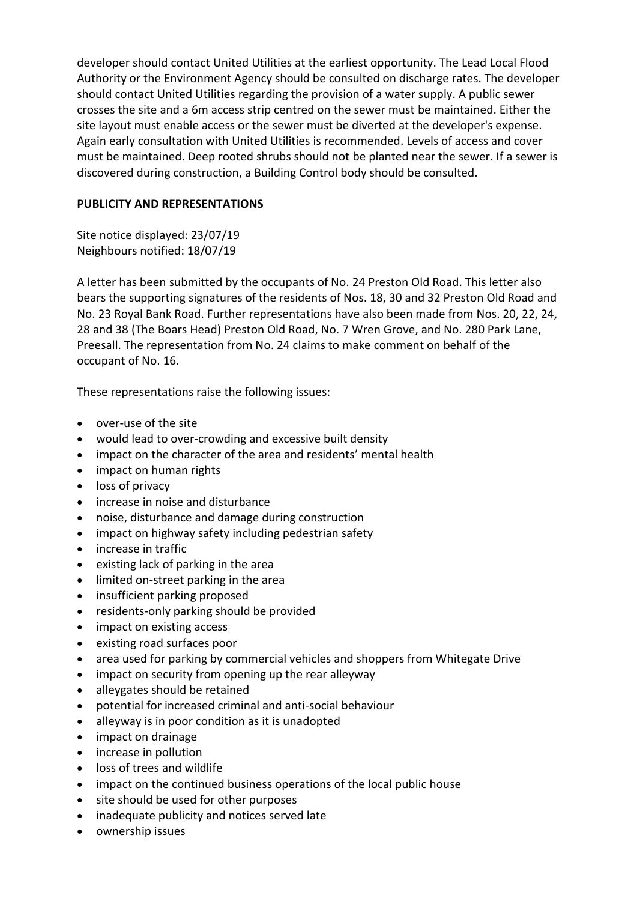developer should contact United Utilities at the earliest opportunity. The Lead Local Flood Authority or the Environment Agency should be consulted on discharge rates. The developer should contact United Utilities regarding the provision of a water supply. A public sewer crosses the site and a 6m access strip centred on the sewer must be maintained. Either the site layout must enable access or the sewer must be diverted at the developer's expense. Again early consultation with United Utilities is recommended. Levels of access and cover must be maintained. Deep rooted shrubs should not be planted near the sewer. If a sewer is discovered during construction, a Building Control body should be consulted.

## **PUBLICITY AND REPRESENTATIONS**

Site notice displayed: 23/07/19 Neighbours notified: 18/07/19

A letter has been submitted by the occupants of No. 24 Preston Old Road. This letter also bears the supporting signatures of the residents of Nos. 18, 30 and 32 Preston Old Road and No. 23 Royal Bank Road. Further representations have also been made from Nos. 20, 22, 24, 28 and 38 (The Boars Head) Preston Old Road, No. 7 Wren Grove, and No. 280 Park Lane, Preesall. The representation from No. 24 claims to make comment on behalf of the occupant of No. 16.

These representations raise the following issues:

- over-use of the site
- would lead to over-crowding and excessive built density
- impact on the character of the area and residents' mental health
- impact on human rights
- loss of privacy
- increase in noise and disturbance
- noise, disturbance and damage during construction
- impact on highway safety including pedestrian safety
- increase in traffic
- existing lack of parking in the area
- limited on-street parking in the area
- insufficient parking proposed
- residents-only parking should be provided
- impact on existing access
- existing road surfaces poor
- area used for parking by commercial vehicles and shoppers from Whitegate Drive
- impact on security from opening up the rear alleyway
- alleygates should be retained
- potential for increased criminal and anti-social behaviour
- alleyway is in poor condition as it is unadopted
- impact on drainage
- increase in pollution
- loss of trees and wildlife
- impact on the continued business operations of the local public house
- site should be used for other purposes
- inadequate publicity and notices served late
- ownership issues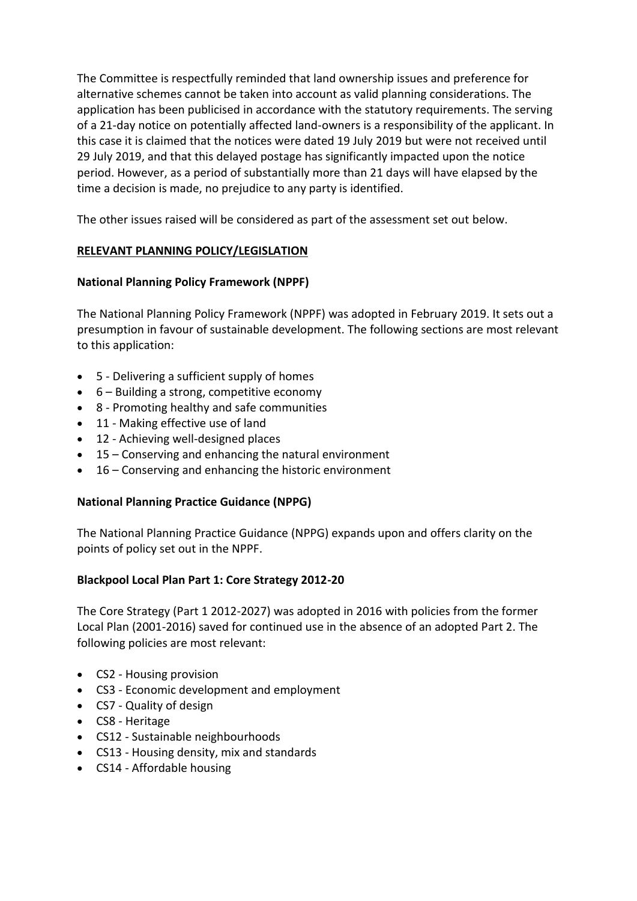The Committee is respectfully reminded that land ownership issues and preference for alternative schemes cannot be taken into account as valid planning considerations. The application has been publicised in accordance with the statutory requirements. The serving of a 21-day notice on potentially affected land-owners is a responsibility of the applicant. In this case it is claimed that the notices were dated 19 July 2019 but were not received until 29 July 2019, and that this delayed postage has significantly impacted upon the notice period. However, as a period of substantially more than 21 days will have elapsed by the time a decision is made, no prejudice to any party is identified.

The other issues raised will be considered as part of the assessment set out below.

# **RELEVANT PLANNING POLICY/LEGISLATION**

# **National Planning Policy Framework (NPPF)**

The National Planning Policy Framework (NPPF) was adopted in February 2019. It sets out a presumption in favour of sustainable development. The following sections are most relevant to this application:

- 5 Delivering a sufficient supply of homes
- 6 Building a strong, competitive economy
- 8 Promoting healthy and safe communities
- 11 Making effective use of land
- 12 Achieving well-designed places
- 15 Conserving and enhancing the natural environment
- 16 Conserving and enhancing the historic environment

## **National Planning Practice Guidance (NPPG)**

The National Planning Practice Guidance (NPPG) expands upon and offers clarity on the points of policy set out in the NPPF.

## **Blackpool Local Plan Part 1: Core Strategy 2012-20**

The Core Strategy (Part 1 2012-2027) was adopted in 2016 with policies from the former Local Plan (2001-2016) saved for continued use in the absence of an adopted Part 2. The following policies are most relevant:

- CS2 Housing provision
- CS3 Economic development and employment
- CS7 Quality of design
- CS8 Heritage
- CS12 Sustainable neighbourhoods
- CS13 Housing density, mix and standards
- CS14 Affordable housing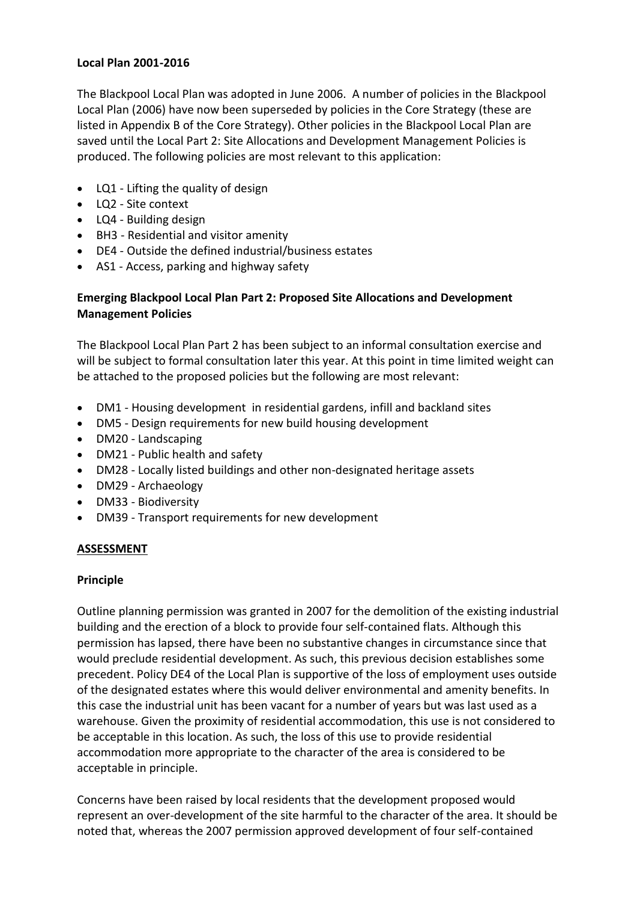### **Local Plan 2001-2016**

The Blackpool Local Plan was adopted in June 2006. A number of policies in the Blackpool Local Plan (2006) have now been superseded by policies in the Core Strategy (these are listed in Appendix B of the Core Strategy). Other policies in the Blackpool Local Plan are saved until the Local Part 2: Site Allocations and Development Management Policies is produced. The following policies are most relevant to this application:

- LQ1 Lifting the quality of design
- LQ2 Site context
- LQ4 Building design
- BH3 Residential and visitor amenity
- DE4 Outside the defined industrial/business estates
- AS1 Access, parking and highway safety

## **Emerging Blackpool Local Plan Part 2: Proposed Site Allocations and Development Management Policies**

The Blackpool Local Plan Part 2 has been subject to an informal consultation exercise and will be subject to formal consultation later this year. At this point in time limited weight can be attached to the proposed policies but the following are most relevant:

- DM1 Housing development in residential gardens, infill and backland sites
- DM5 Design requirements for new build housing development
- DM20 Landscaping
- DM21 Public health and safety
- DM28 Locally listed buildings and other non-designated heritage assets
- DM29 Archaeology
- DM33 Biodiversity
- DM39 Transport requirements for new development

### **ASSESSMENT**

### **Principle**

Outline planning permission was granted in 2007 for the demolition of the existing industrial building and the erection of a block to provide four self-contained flats. Although this permission has lapsed, there have been no substantive changes in circumstance since that would preclude residential development. As such, this previous decision establishes some precedent. Policy DE4 of the Local Plan is supportive of the loss of employment uses outside of the designated estates where this would deliver environmental and amenity benefits. In this case the industrial unit has been vacant for a number of years but was last used as a warehouse. Given the proximity of residential accommodation, this use is not considered to be acceptable in this location. As such, the loss of this use to provide residential accommodation more appropriate to the character of the area is considered to be acceptable in principle.

Concerns have been raised by local residents that the development proposed would represent an over-development of the site harmful to the character of the area. It should be noted that, whereas the 2007 permission approved development of four self-contained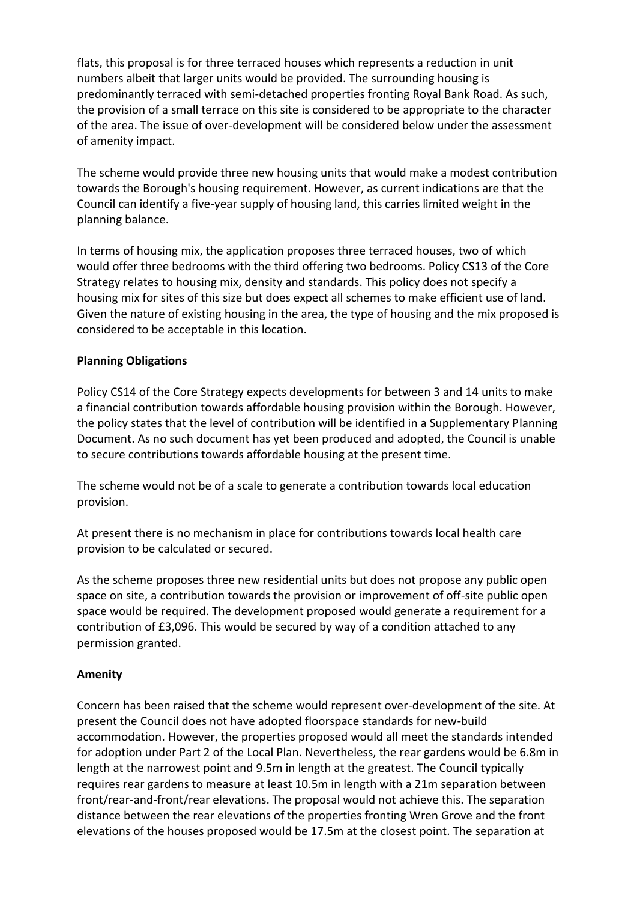flats, this proposal is for three terraced houses which represents a reduction in unit numbers albeit that larger units would be provided. The surrounding housing is predominantly terraced with semi-detached properties fronting Royal Bank Road. As such, the provision of a small terrace on this site is considered to be appropriate to the character of the area. The issue of over-development will be considered below under the assessment of amenity impact.

The scheme would provide three new housing units that would make a modest contribution towards the Borough's housing requirement. However, as current indications are that the Council can identify a five-year supply of housing land, this carries limited weight in the planning balance.

In terms of housing mix, the application proposes three terraced houses, two of which would offer three bedrooms with the third offering two bedrooms. Policy CS13 of the Core Strategy relates to housing mix, density and standards. This policy does not specify a housing mix for sites of this size but does expect all schemes to make efficient use of land. Given the nature of existing housing in the area, the type of housing and the mix proposed is considered to be acceptable in this location.

## **Planning Obligations**

Policy CS14 of the Core Strategy expects developments for between 3 and 14 units to make a financial contribution towards affordable housing provision within the Borough. However, the policy states that the level of contribution will be identified in a Supplementary Planning Document. As no such document has yet been produced and adopted, the Council is unable to secure contributions towards affordable housing at the present time.

The scheme would not be of a scale to generate a contribution towards local education provision.

At present there is no mechanism in place for contributions towards local health care provision to be calculated or secured.

As the scheme proposes three new residential units but does not propose any public open space on site, a contribution towards the provision or improvement of off-site public open space would be required. The development proposed would generate a requirement for a contribution of £3,096. This would be secured by way of a condition attached to any permission granted.

## **Amenity**

Concern has been raised that the scheme would represent over-development of the site. At present the Council does not have adopted floorspace standards for new-build accommodation. However, the properties proposed would all meet the standards intended for adoption under Part 2 of the Local Plan. Nevertheless, the rear gardens would be 6.8m in length at the narrowest point and 9.5m in length at the greatest. The Council typically requires rear gardens to measure at least 10.5m in length with a 21m separation between front/rear-and-front/rear elevations. The proposal would not achieve this. The separation distance between the rear elevations of the properties fronting Wren Grove and the front elevations of the houses proposed would be 17.5m at the closest point. The separation at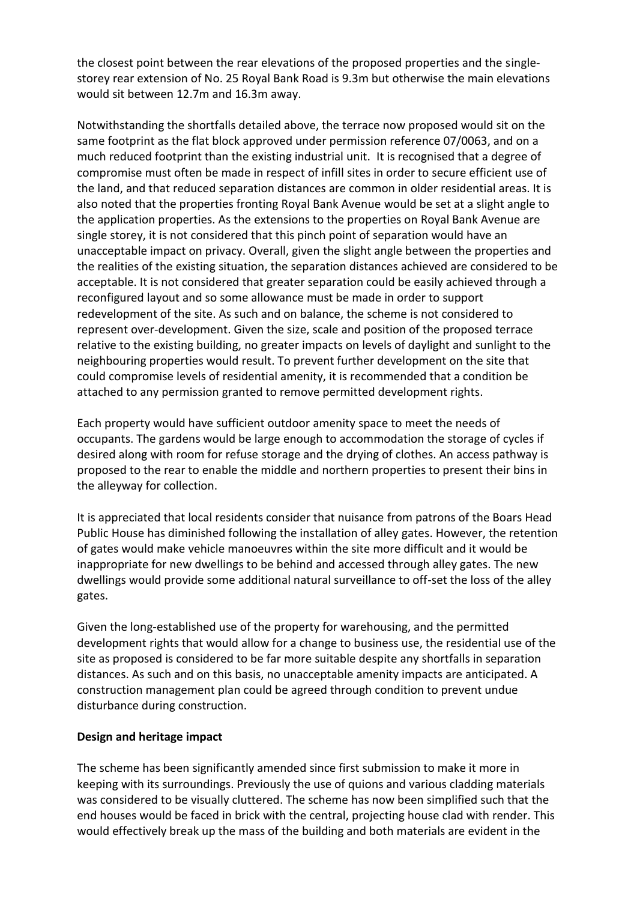the closest point between the rear elevations of the proposed properties and the singlestorey rear extension of No. 25 Royal Bank Road is 9.3m but otherwise the main elevations would sit between 12.7m and 16.3m away.

Notwithstanding the shortfalls detailed above, the terrace now proposed would sit on the same footprint as the flat block approved under permission reference 07/0063, and on a much reduced footprint than the existing industrial unit. It is recognised that a degree of compromise must often be made in respect of infill sites in order to secure efficient use of the land, and that reduced separation distances are common in older residential areas. It is also noted that the properties fronting Royal Bank Avenue would be set at a slight angle to the application properties. As the extensions to the properties on Royal Bank Avenue are single storey, it is not considered that this pinch point of separation would have an unacceptable impact on privacy. Overall, given the slight angle between the properties and the realities of the existing situation, the separation distances achieved are considered to be acceptable. It is not considered that greater separation could be easily achieved through a reconfigured layout and so some allowance must be made in order to support redevelopment of the site. As such and on balance, the scheme is not considered to represent over-development. Given the size, scale and position of the proposed terrace relative to the existing building, no greater impacts on levels of daylight and sunlight to the neighbouring properties would result. To prevent further development on the site that could compromise levels of residential amenity, it is recommended that a condition be attached to any permission granted to remove permitted development rights.

Each property would have sufficient outdoor amenity space to meet the needs of occupants. The gardens would be large enough to accommodation the storage of cycles if desired along with room for refuse storage and the drying of clothes. An access pathway is proposed to the rear to enable the middle and northern properties to present their bins in the alleyway for collection.

It is appreciated that local residents consider that nuisance from patrons of the Boars Head Public House has diminished following the installation of alley gates. However, the retention of gates would make vehicle manoeuvres within the site more difficult and it would be inappropriate for new dwellings to be behind and accessed through alley gates. The new dwellings would provide some additional natural surveillance to off-set the loss of the alley gates.

Given the long-established use of the property for warehousing, and the permitted development rights that would allow for a change to business use, the residential use of the site as proposed is considered to be far more suitable despite any shortfalls in separation distances. As such and on this basis, no unacceptable amenity impacts are anticipated. A construction management plan could be agreed through condition to prevent undue disturbance during construction.

### **Design and heritage impact**

The scheme has been significantly amended since first submission to make it more in keeping with its surroundings. Previously the use of quions and various cladding materials was considered to be visually cluttered. The scheme has now been simplified such that the end houses would be faced in brick with the central, projecting house clad with render. This would effectively break up the mass of the building and both materials are evident in the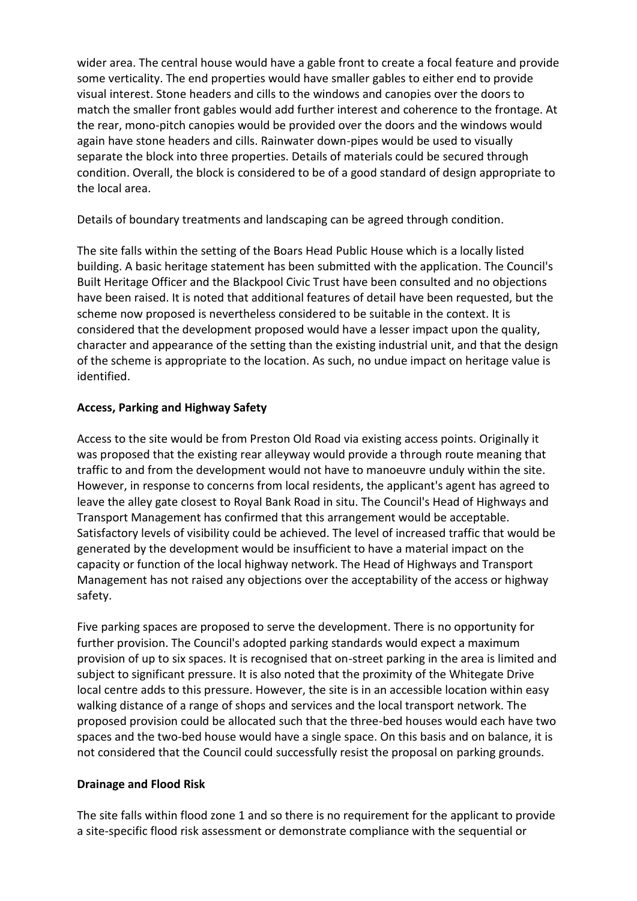wider area. The central house would have a gable front to create a focal feature and provide some verticality. The end properties would have smaller gables to either end to provide visual interest. Stone headers and cills to the windows and canopies over the doors to match the smaller front gables would add further interest and coherence to the frontage. At the rear, mono-pitch canopies would be provided over the doors and the windows would again have stone headers and cills. Rainwater down-pipes would be used to visually separate the block into three properties. Details of materials could be secured through condition. Overall, the block is considered to be of a good standard of design appropriate to the local area.

Details of boundary treatments and landscaping can be agreed through condition.

The site falls within the setting of the Boars Head Public House which is a locally listed building. A basic heritage statement has been submitted with the application. The Council's Built Heritage Officer and the Blackpool Civic Trust have been consulted and no objections have been raised. It is noted that additional features of detail have been requested, but the scheme now proposed is nevertheless considered to be suitable in the context. It is considered that the development proposed would have a lesser impact upon the quality, character and appearance of the setting than the existing industrial unit, and that the design of the scheme is appropriate to the location. As such, no undue impact on heritage value is identified.

# **Access, Parking and Highway Safety**

Access to the site would be from Preston Old Road via existing access points. Originally it was proposed that the existing rear alleyway would provide a through route meaning that traffic to and from the development would not have to manoeuvre unduly within the site. However, in response to concerns from local residents, the applicant's agent has agreed to leave the alley gate closest to Royal Bank Road in situ. The Council's Head of Highways and Transport Management has confirmed that this arrangement would be acceptable. Satisfactory levels of visibility could be achieved. The level of increased traffic that would be generated by the development would be insufficient to have a material impact on the capacity or function of the local highway network. The Head of Highways and Transport Management has not raised any objections over the acceptability of the access or highway safety.

Five parking spaces are proposed to serve the development. There is no opportunity for further provision. The Council's adopted parking standards would expect a maximum provision of up to six spaces. It is recognised that on-street parking in the area is limited and subject to significant pressure. It is also noted that the proximity of the Whitegate Drive local centre adds to this pressure. However, the site is in an accessible location within easy walking distance of a range of shops and services and the local transport network. The proposed provision could be allocated such that the three-bed houses would each have two spaces and the two-bed house would have a single space. On this basis and on balance, it is not considered that the Council could successfully resist the proposal on parking grounds.

# **Drainage and Flood Risk**

The site falls within flood zone 1 and so there is no requirement for the applicant to provide a site-specific flood risk assessment or demonstrate compliance with the sequential or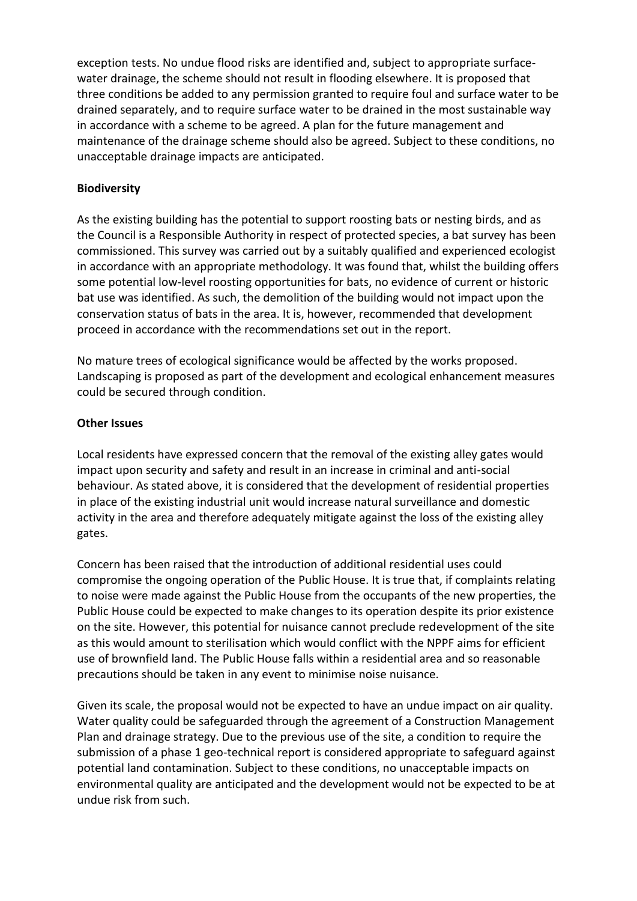exception tests. No undue flood risks are identified and, subject to appropriate surfacewater drainage, the scheme should not result in flooding elsewhere. It is proposed that three conditions be added to any permission granted to require foul and surface water to be drained separately, and to require surface water to be drained in the most sustainable way in accordance with a scheme to be agreed. A plan for the future management and maintenance of the drainage scheme should also be agreed. Subject to these conditions, no unacceptable drainage impacts are anticipated.

## **Biodiversity**

As the existing building has the potential to support roosting bats or nesting birds, and as the Council is a Responsible Authority in respect of protected species, a bat survey has been commissioned. This survey was carried out by a suitably qualified and experienced ecologist in accordance with an appropriate methodology. It was found that, whilst the building offers some potential low-level roosting opportunities for bats, no evidence of current or historic bat use was identified. As such, the demolition of the building would not impact upon the conservation status of bats in the area. It is, however, recommended that development proceed in accordance with the recommendations set out in the report.

No mature trees of ecological significance would be affected by the works proposed. Landscaping is proposed as part of the development and ecological enhancement measures could be secured through condition.

## **Other Issues**

Local residents have expressed concern that the removal of the existing alley gates would impact upon security and safety and result in an increase in criminal and anti-social behaviour. As stated above, it is considered that the development of residential properties in place of the existing industrial unit would increase natural surveillance and domestic activity in the area and therefore adequately mitigate against the loss of the existing alley gates.

Concern has been raised that the introduction of additional residential uses could compromise the ongoing operation of the Public House. It is true that, if complaints relating to noise were made against the Public House from the occupants of the new properties, the Public House could be expected to make changes to its operation despite its prior existence on the site. However, this potential for nuisance cannot preclude redevelopment of the site as this would amount to sterilisation which would conflict with the NPPF aims for efficient use of brownfield land. The Public House falls within a residential area and so reasonable precautions should be taken in any event to minimise noise nuisance.

Given its scale, the proposal would not be expected to have an undue impact on air quality. Water quality could be safeguarded through the agreement of a Construction Management Plan and drainage strategy. Due to the previous use of the site, a condition to require the submission of a phase 1 geo-technical report is considered appropriate to safeguard against potential land contamination. Subject to these conditions, no unacceptable impacts on environmental quality are anticipated and the development would not be expected to be at undue risk from such.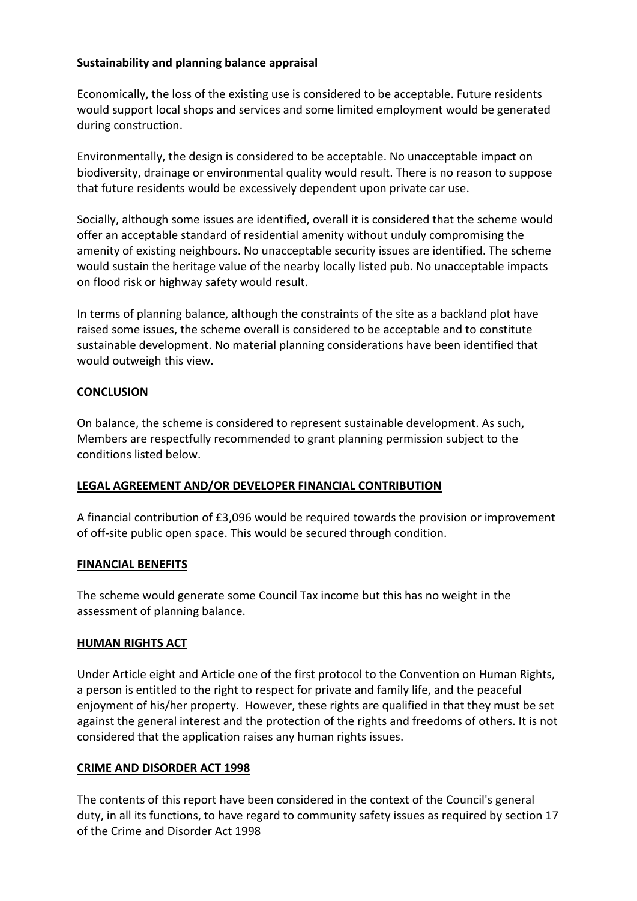## **Sustainability and planning balance appraisal**

Economically, the loss of the existing use is considered to be acceptable. Future residents would support local shops and services and some limited employment would be generated during construction.

Environmentally, the design is considered to be acceptable. No unacceptable impact on biodiversity, drainage or environmental quality would result. There is no reason to suppose that future residents would be excessively dependent upon private car use.

Socially, although some issues are identified, overall it is considered that the scheme would offer an acceptable standard of residential amenity without unduly compromising the amenity of existing neighbours. No unacceptable security issues are identified. The scheme would sustain the heritage value of the nearby locally listed pub. No unacceptable impacts on flood risk or highway safety would result.

In terms of planning balance, although the constraints of the site as a backland plot have raised some issues, the scheme overall is considered to be acceptable and to constitute sustainable development. No material planning considerations have been identified that would outweigh this view.

## **CONCLUSION**

On balance, the scheme is considered to represent sustainable development. As such, Members are respectfully recommended to grant planning permission subject to the conditions listed below.

### **LEGAL AGREEMENT AND/OR DEVELOPER FINANCIAL CONTRIBUTION**

A financial contribution of £3,096 would be required towards the provision or improvement of off-site public open space. This would be secured through condition.

### **FINANCIAL BENEFITS**

The scheme would generate some Council Tax income but this has no weight in the assessment of planning balance.

### **HUMAN RIGHTS ACT**

Under Article eight and Article one of the first protocol to the Convention on Human Rights, a person is entitled to the right to respect for private and family life, and the peaceful enjoyment of his/her property. However, these rights are qualified in that they must be set against the general interest and the protection of the rights and freedoms of others. It is not considered that the application raises any human rights issues.

### **CRIME AND DISORDER ACT 1998**

The contents of this report have been considered in the context of the Council's general duty, in all its functions, to have regard to community safety issues as required by section 17 of the Crime and Disorder Act 1998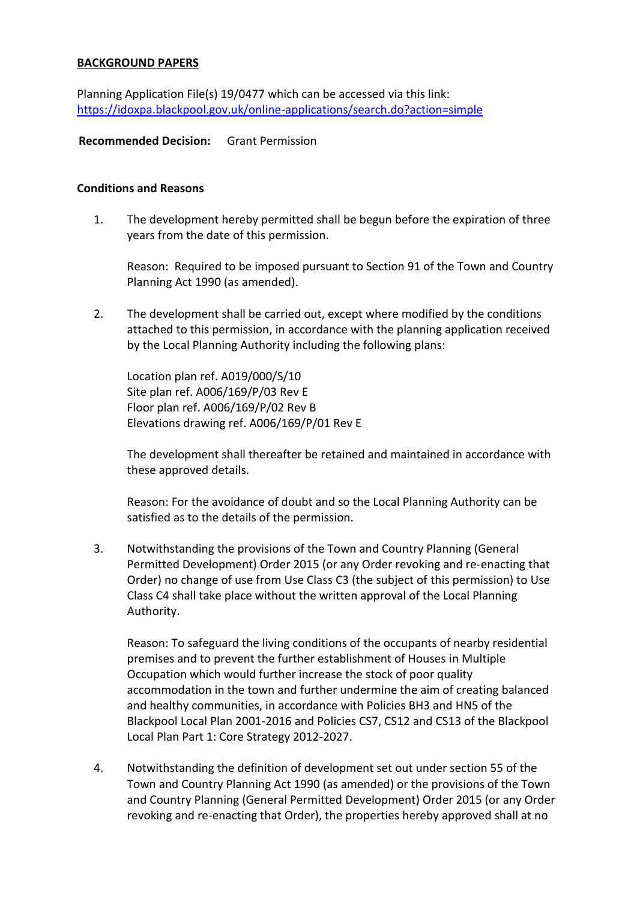### **BACKGROUND PAPERS**

Planning Application File(s) 19/0477 which can be accessed via this link: https://idoxpa.blackpool.gov.uk/online-applications/search.do?action=simple

### **Recommended Decision:** Grant Permission

### **Conditions and Reasons**

1. The development hereby permitted shall be begun before the expiration of three years from the date of this permission.

Reason: Required to be imposed pursuant to Section 91 of the Town and Country Planning Act 1990 (as amended).

2. The development shall be carried out, except where modified by the conditions attached to this permission, in accordance with the planning application received by the Local Planning Authority including the following plans:

Location plan ref. A019/000/S/10 Site plan ref. A006/169/P/03 Rev E Floor plan ref. A006/169/P/02 Rev B Elevations drawing ref. A006/169/P/01 Rev E

The development shall thereafter be retained and maintained in accordance with these approved details.

Reason: For the avoidance of doubt and so the Local Planning Authority can be satisfied as to the details of the permission.

3. Notwithstanding the provisions of the Town and Country Planning (General Permitted Development) Order 2015 (or any Order revoking and re-enacting that Order) no change of use from Use Class C3 (the subject of this permission) to Use Class C4 shall take place without the written approval of the Local Planning Authority.

Reason: To safeguard the living conditions of the occupants of nearby residential premises and to prevent the further establishment of Houses in Multiple Occupation which would further increase the stock of poor quality accommodation in the town and further undermine the aim of creating balanced and healthy communities, in accordance with Policies BH3 and HN5 of the Blackpool Local Plan 2001-2016 and Policies CS7, CS12 and CS13 of the Blackpool Local Plan Part 1: Core Strategy 2012-2027.

4. Notwithstanding the definition of development set out under section 55 of the Town and Country Planning Act 1990 (as amended) or the provisions of the Town and Country Planning (General Permitted Development) Order 2015 (or any Order revoking and re-enacting that Order), the properties hereby approved shall at no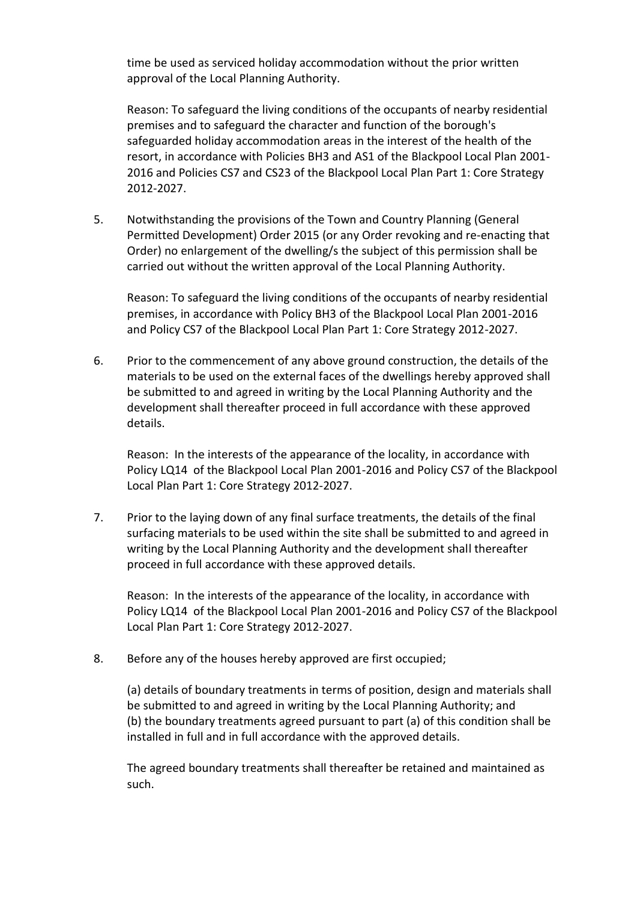time be used as serviced holiday accommodation without the prior written approval of the Local Planning Authority.

Reason: To safeguard the living conditions of the occupants of nearby residential premises and to safeguard the character and function of the borough's safeguarded holiday accommodation areas in the interest of the health of the resort, in accordance with Policies BH3 and AS1 of the Blackpool Local Plan 2001- 2016 and Policies CS7 and CS23 of the Blackpool Local Plan Part 1: Core Strategy 2012-2027.

5. Notwithstanding the provisions of the Town and Country Planning (General Permitted Development) Order 2015 (or any Order revoking and re-enacting that Order) no enlargement of the dwelling/s the subject of this permission shall be carried out without the written approval of the Local Planning Authority.

Reason: To safeguard the living conditions of the occupants of nearby residential premises, in accordance with Policy BH3 of the Blackpool Local Plan 2001-2016 and Policy CS7 of the Blackpool Local Plan Part 1: Core Strategy 2012-2027.

6. Prior to the commencement of any above ground construction, the details of the materials to be used on the external faces of the dwellings hereby approved shall be submitted to and agreed in writing by the Local Planning Authority and the development shall thereafter proceed in full accordance with these approved details.

Reason: In the interests of the appearance of the locality, in accordance with Policy LQ14 of the Blackpool Local Plan 2001-2016 and Policy CS7 of the Blackpool Local Plan Part 1: Core Strategy 2012-2027.

7. Prior to the laying down of any final surface treatments, the details of the final surfacing materials to be used within the site shall be submitted to and agreed in writing by the Local Planning Authority and the development shall thereafter proceed in full accordance with these approved details.

Reason: In the interests of the appearance of the locality, in accordance with Policy LQ14 of the Blackpool Local Plan 2001-2016 and Policy CS7 of the Blackpool Local Plan Part 1: Core Strategy 2012-2027.

8. Before any of the houses hereby approved are first occupied;

(a) details of boundary treatments in terms of position, design and materials shall be submitted to and agreed in writing by the Local Planning Authority; and (b) the boundary treatments agreed pursuant to part (a) of this condition shall be installed in full and in full accordance with the approved details.

The agreed boundary treatments shall thereafter be retained and maintained as such.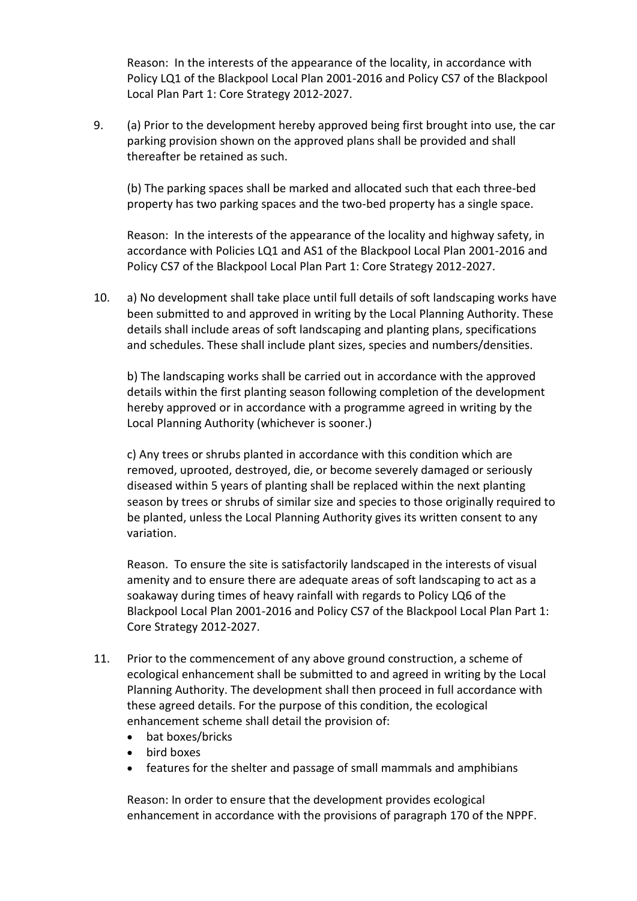Reason: In the interests of the appearance of the locality, in accordance with Policy LQ1 of the Blackpool Local Plan 2001-2016 and Policy CS7 of the Blackpool Local Plan Part 1: Core Strategy 2012-2027.

9. (a) Prior to the development hereby approved being first brought into use, the car parking provision shown on the approved plans shall be provided and shall thereafter be retained as such.

(b) The parking spaces shall be marked and allocated such that each three-bed property has two parking spaces and the two-bed property has a single space.

Reason: In the interests of the appearance of the locality and highway safety, in accordance with Policies LQ1 and AS1 of the Blackpool Local Plan 2001-2016 and Policy CS7 of the Blackpool Local Plan Part 1: Core Strategy 2012-2027.

10. a) No development shall take place until full details of soft landscaping works have been submitted to and approved in writing by the Local Planning Authority. These details shall include areas of soft landscaping and planting plans, specifications and schedules. These shall include plant sizes, species and numbers/densities.

b) The landscaping works shall be carried out in accordance with the approved details within the first planting season following completion of the development hereby approved or in accordance with a programme agreed in writing by the Local Planning Authority (whichever is sooner.)

c) Any trees or shrubs planted in accordance with this condition which are removed, uprooted, destroyed, die, or become severely damaged or seriously diseased within 5 years of planting shall be replaced within the next planting season by trees or shrubs of similar size and species to those originally required to be planted, unless the Local Planning Authority gives its written consent to any variation.

Reason. To ensure the site is satisfactorily landscaped in the interests of visual amenity and to ensure there are adequate areas of soft landscaping to act as a soakaway during times of heavy rainfall with regards to Policy LQ6 of the Blackpool Local Plan 2001-2016 and Policy CS7 of the Blackpool Local Plan Part 1: Core Strategy 2012-2027.

- 11. Prior to the commencement of any above ground construction, a scheme of ecological enhancement shall be submitted to and agreed in writing by the Local Planning Authority. The development shall then proceed in full accordance with these agreed details. For the purpose of this condition, the ecological enhancement scheme shall detail the provision of:
	- bat boxes/bricks
	- bird boxes
	- features for the shelter and passage of small mammals and amphibians

Reason: In order to ensure that the development provides ecological enhancement in accordance with the provisions of paragraph 170 of the NPPF.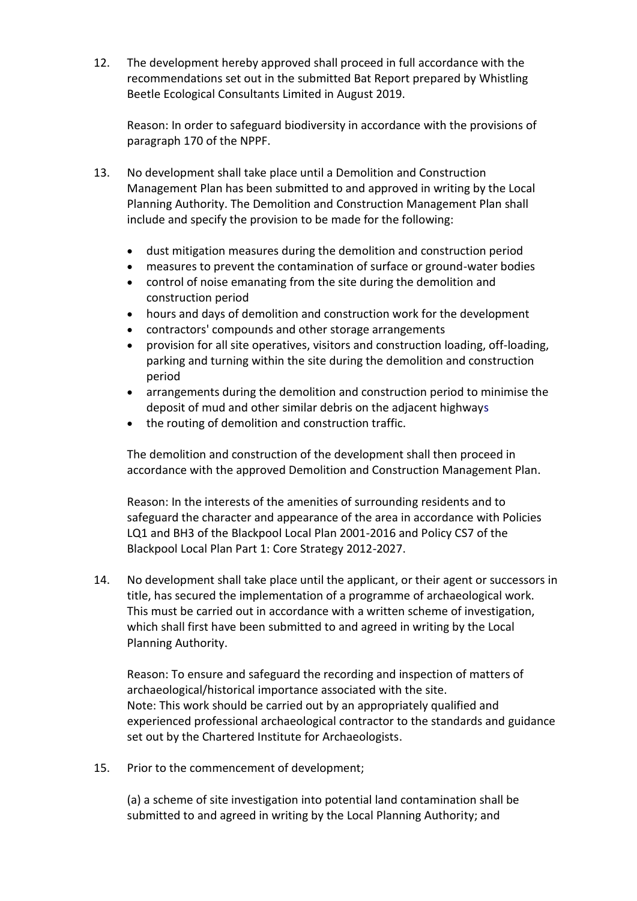12. The development hereby approved shall proceed in full accordance with the recommendations set out in the submitted Bat Report prepared by Whistling Beetle Ecological Consultants Limited in August 2019.

Reason: In order to safeguard biodiversity in accordance with the provisions of paragraph 170 of the NPPF.

- 13. No development shall take place until a Demolition and Construction Management Plan has been submitted to and approved in writing by the Local Planning Authority. The Demolition and Construction Management Plan shall include and specify the provision to be made for the following:
	- dust mitigation measures during the demolition and construction period
	- measures to prevent the contamination of surface or ground-water bodies
	- control of noise emanating from the site during the demolition and construction period
	- hours and days of demolition and construction work for the development
	- contractors' compounds and other storage arrangements
	- provision for all site operatives, visitors and construction loading, off-loading, parking and turning within the site during the demolition and construction period
	- arrangements during the demolition and construction period to minimise the deposit of mud and other similar debris on the adjacent highways
	- the routing of demolition and construction traffic.

The demolition and construction of the development shall then proceed in accordance with the approved Demolition and Construction Management Plan.

Reason: In the interests of the amenities of surrounding residents and to safeguard the character and appearance of the area in accordance with Policies LQ1 and BH3 of the Blackpool Local Plan 2001-2016 and Policy CS7 of the Blackpool Local Plan Part 1: Core Strategy 2012-2027.

14. No development shall take place until the applicant, or their agent or successors in title, has secured the implementation of a programme of archaeological work. This must be carried out in accordance with a written scheme of investigation, which shall first have been submitted to and agreed in writing by the Local Planning Authority.

Reason: To ensure and safeguard the recording and inspection of matters of archaeological/historical importance associated with the site. Note: This work should be carried out by an appropriately qualified and experienced professional archaeological contractor to the standards and guidance set out by the Chartered Institute for Archaeologists.

15. Prior to the commencement of development;

(a) a scheme of site investigation into potential land contamination shall be submitted to and agreed in writing by the Local Planning Authority; and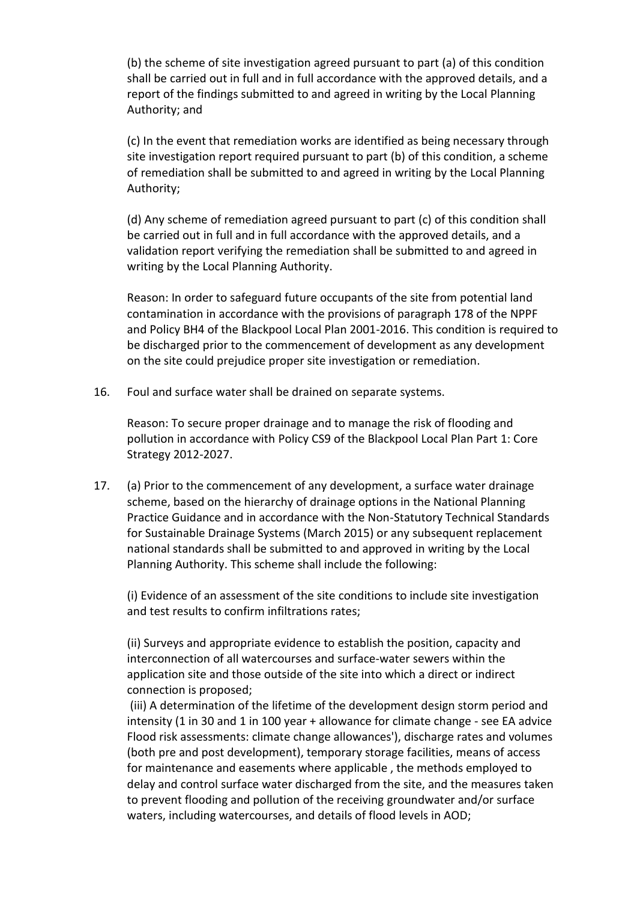(b) the scheme of site investigation agreed pursuant to part (a) of this condition shall be carried out in full and in full accordance with the approved details, and a report of the findings submitted to and agreed in writing by the Local Planning Authority; and

(c) In the event that remediation works are identified as being necessary through site investigation report required pursuant to part (b) of this condition, a scheme of remediation shall be submitted to and agreed in writing by the Local Planning Authority;

(d) Any scheme of remediation agreed pursuant to part (c) of this condition shall be carried out in full and in full accordance with the approved details, and a validation report verifying the remediation shall be submitted to and agreed in writing by the Local Planning Authority.

Reason: In order to safeguard future occupants of the site from potential land contamination in accordance with the provisions of paragraph 178 of the NPPF and Policy BH4 of the Blackpool Local Plan 2001-2016. This condition is required to be discharged prior to the commencement of development as any development on the site could prejudice proper site investigation or remediation.

16. Foul and surface water shall be drained on separate systems.

Reason: To secure proper drainage and to manage the risk of flooding and pollution in accordance with Policy CS9 of the Blackpool Local Plan Part 1: Core Strategy 2012-2027.

17. (a) Prior to the commencement of any development, a surface water drainage scheme, based on the hierarchy of drainage options in the National Planning Practice Guidance and in accordance with the Non-Statutory Technical Standards for Sustainable Drainage Systems (March 2015) or any subsequent replacement national standards shall be submitted to and approved in writing by the Local Planning Authority. This scheme shall include the following:

(i) Evidence of an assessment of the site conditions to include site investigation and test results to confirm infiltrations rates;

(ii) Surveys and appropriate evidence to establish the position, capacity and interconnection of all watercourses and surface-water sewers within the application site and those outside of the site into which a direct or indirect connection is proposed;

(iii) A determination of the lifetime of the development design storm period and intensity (1 in 30 and 1 in 100 year + allowance for climate change - see EA advice Flood risk assessments: climate change allowances'), discharge rates and volumes (both pre and post development), temporary storage facilities, means of access for maintenance and easements where applicable , the methods employed to delay and control surface water discharged from the site, and the measures taken to prevent flooding and pollution of the receiving groundwater and/or surface waters, including watercourses, and details of flood levels in AOD;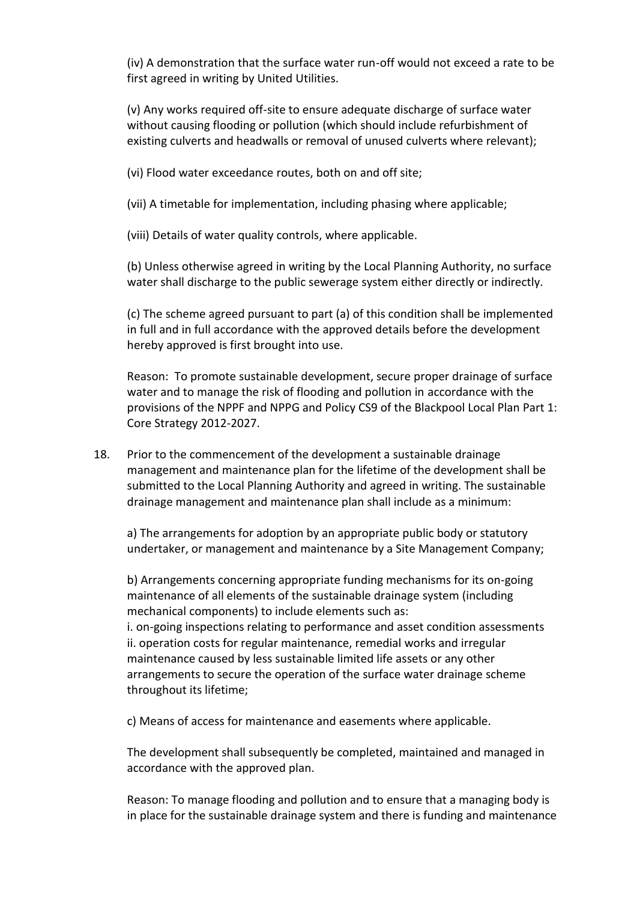(iv) A demonstration that the surface water run-off would not exceed a rate to be first agreed in writing by United Utilities.

(v) Any works required off-site to ensure adequate discharge of surface water without causing flooding or pollution (which should include refurbishment of existing culverts and headwalls or removal of unused culverts where relevant);

(vi) Flood water exceedance routes, both on and off site;

(vii) A timetable for implementation, including phasing where applicable;

(viii) Details of water quality controls, where applicable.

(b) Unless otherwise agreed in writing by the Local Planning Authority, no surface water shall discharge to the public sewerage system either directly or indirectly.

(c) The scheme agreed pursuant to part (a) of this condition shall be implemented in full and in full accordance with the approved details before the development hereby approved is first brought into use.

Reason: To promote sustainable development, secure proper drainage of surface water and to manage the risk of flooding and pollution in accordance with the provisions of the NPPF and NPPG and Policy CS9 of the Blackpool Local Plan Part 1: Core Strategy 2012-2027.

18. Prior to the commencement of the development a sustainable drainage management and maintenance plan for the lifetime of the development shall be submitted to the Local Planning Authority and agreed in writing. The sustainable drainage management and maintenance plan shall include as a minimum:

a) The arrangements for adoption by an appropriate public body or statutory undertaker, or management and maintenance by a Site Management Company;

b) Arrangements concerning appropriate funding mechanisms for its on-going maintenance of all elements of the sustainable drainage system (including mechanical components) to include elements such as: i. on-going inspections relating to performance and asset condition assessments ii. operation costs for regular maintenance, remedial works and irregular

maintenance caused by less sustainable limited life assets or any other arrangements to secure the operation of the surface water drainage scheme throughout its lifetime;

c) Means of access for maintenance and easements where applicable.

The development shall subsequently be completed, maintained and managed in accordance with the approved plan.

Reason: To manage flooding and pollution and to ensure that a managing body is in place for the sustainable drainage system and there is funding and maintenance